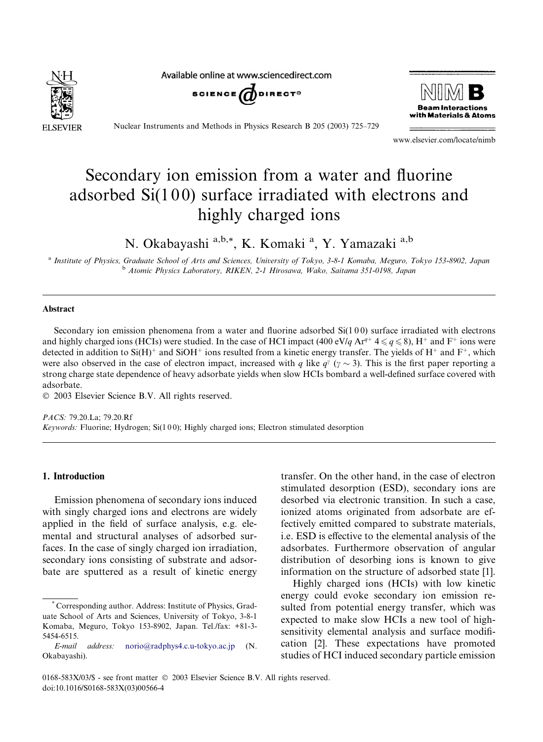

Available online at www.sciencedirect.com





Nuclear Instruments and Methods in Physics Research B 205 (2003) 725–729

www.elsevier.com/locate/nimb

# Secondary ion emission from a water and fluorine adsorbed  $Si(100)$  surface irradiated with electrons and highly charged ions

N. Okabayashi a, b, \*, K. Komaki <sup>a</sup>, Y. Yamazaki <sup>a, b</sup>

a Institute of Physics, Graduate School of Arts and Sciences, University of Tokyo, 3-8-1 Komaba, Meguro, Tokyo 153-8902, Japan <sup>b</sup> Atomic Physics Laboratory, RIKEN, 2-1 Hirosawa, Wako, Saitama 351-0198, Japan

## Abstract

Secondary ion emission phenomena from a water and fluorine adsorbed Si(100) surface irradiated with electrons and highly charged ions (HCIs) were studied. In the case of HCI impact (400 eV/q Ar<sup>q+</sup> 4  $\leq q \leq 8$ ), H<sup>+</sup> and F<sup>+</sup> ions were detected in addition to Si(H)<sup>+</sup> and SiOH<sup>+</sup> ions resulted from a kinetic energy transfer. The yields of H<sup>+</sup> and F<sup>+</sup>, which were also observed in the case of electron impact, increased with q like  $q^{\gamma}$  ( $\gamma \sim 3$ ). This is the first paper reporting a strong charge state dependence of heavy adsorbate yields when slow HCIs bombard a well-defined surface covered with adsorbate.

2003 Elsevier Science B.V. All rights reserved.

PACS: 79.20.La; 79.20.Rf Keywords: Fluorine; Hydrogen; Si(1 0 0); Highly charged ions; Electron stimulated desorption

## 1. Introduction

Emission phenomena of secondary ions induced with singly charged ions and electrons are widely applied in the field of surface analysis, e.g. elemental and structural analyses of adsorbed surfaces. In the case of singly charged ion irradiation, secondary ions consisting of substrate and adsorbate are sputtered as a result of kinetic energy

transfer. On the other hand, in the case of electron stimulated desorption (ESD), secondary ions are desorbed via electronic transition. In such a case, ionized atoms originated from adsorbate are effectively emitted compared to substrate materials, i.e. ESD is effective to the elemental analysis of the adsorbates. Furthermore observation of angular distribution of desorbing ions is known to give information on the structure of adsorbed state [1].

Highly charged ions (HCIs) with low kinetic energy could evoke secondary ion emission resulted from potential energy transfer, which was expected to make slow HCIs a new tool of highsensitivity elemental analysis and surface modification [2]. These expectations have promoted studies of HCI induced secondary particle emission

<sup>\*</sup> Corresponding author. Address: Institute of Physics, Graduate School of Arts and Sciences, University of Tokyo, 3-8-1 Komaba, Meguro, Tokyo 153-8902, Japan. Tel./fax: +81-3- 5454-6515.

E-mail address: [norio@radphys4.c.u-tokyo.ac.jp](mail to: norio@radphys4.c.u-tokyo.ac.jp) (N. Okabayashi).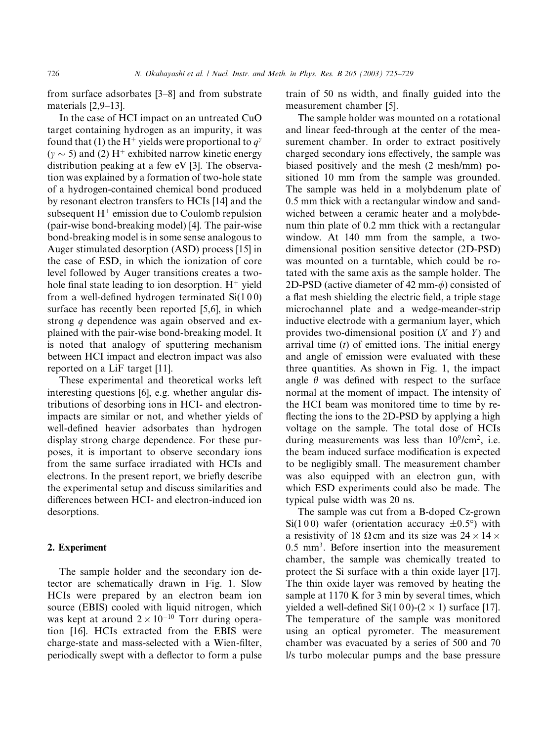from surface adsorbates [3–8] and from substrate materials [2,9–13].

In the case of HCI impact on an untreated CuO target containing hydrogen as an impurity, it was found that (1) the H<sup>+</sup> yields were proportional to  $q^{\gamma}$  $(\gamma \sim 5)$  and (2) H<sup>+</sup> exhibited narrow kinetic energy distribution peaking at a few eV [3]. The observation was explained by a formation of two-hole state of a hydrogen-contained chemical bond produced by resonant electron transfers to HCIs [14] and the subsequent  $H^+$  emission due to Coulomb repulsion (pair-wise bond-breaking model) [4]. The pair-wise bond-breaking model is in some sense analogous to Auger stimulated desorption (ASD) process [15] in the case of ESD, in which the ionization of core level followed by Auger transitions creates a twohole final state leading to ion desorption.  $H^+$  yield from a well-defined hydrogen terminated Si(1 0 0) surface has recently been reported [5,6], in which strong q dependence was again observed and explained with the pair-wise bond-breaking model. It is noted that analogy of sputtering mechanism between HCI impact and electron impact was also reported on a LiF target [11].

These experimental and theoretical works left interesting questions [6], e.g. whether angular distributions of desorbing ions in HCI- and electronimpacts are similar or not, and whether yields of well-defined heavier adsorbates than hydrogen display strong charge dependence. For these purposes, it is important to observe secondary ions from the same surface irradiated with HCIs and electrons. In the present report, we briefly describe the experimental setup and discuss similarities and differences between HCI- and electron-induced ion desorptions.

# 2. Experiment

The sample holder and the secondary ion detector are schematically drawn in Fig. 1. Slow HCIs were prepared by an electron beam ion source (EBIS) cooled with liquid nitrogen, which was kept at around  $2 \times 10^{-10}$  Torr during operation [16]. HCIs extracted from the EBIS were charge-state and mass-selected with a Wien-filter, periodically swept with a deflector to form a pulse train of 50 ns width, and finally guided into the measurement chamber [5].

The sample holder was mounted on a rotational and linear feed-through at the center of the measurement chamber. In order to extract positively charged secondary ions effectively, the sample was biased positively and the mesh (2 mesh/mm) positioned 10 mm from the sample was grounded. The sample was held in a molybdenum plate of 0.5 mm thick with a rectangular window and sandwiched between a ceramic heater and a molybdenum thin plate of 0.2 mm thick with a rectangular window. At 140 mm from the sample, a twodimensional position sensitive detector (2D-PSD) was mounted on a turntable, which could be rotated with the same axis as the sample holder. The 2D-PSD (active diameter of 42 mm- $\phi$ ) consisted of a flat mesh shielding the electric field, a triple stage microchannel plate and a wedge-meander-strip inductive electrode with a germanium layer, which provides two-dimensional position  $(X \text{ and } Y)$  and arrival time  $(t)$  of emitted ions. The initial energy and angle of emission were evaluated with these three quantities. As shown in Fig. 1, the impact angle  $\theta$  was defined with respect to the surface normal at the moment of impact. The intensity of the HCI beam was monitored time to time by reflecting the ions to the 2D-PSD by applying a high voltage on the sample. The total dose of HCIs during measurements was less than  $10^9/\text{cm}^2$ , i.e. the beam induced surface modification is expected to be negligibly small. The measurement chamber was also equipped with an electron gun, with which ESD experiments could also be made. The typical pulse width was 20 ns.

The sample was cut from a B-doped Cz-grown  $Si(100)$  wafer (orientation accuracy  $\pm 0.5^{\circ}$ ) with a resistivity of 18  $\Omega$  cm and its size was 24  $\times$  14  $\times$ 0.5 mm3. Before insertion into the measurement chamber, the sample was chemically treated to protect the Si surface with a thin oxide layer [17]. The thin oxide layer was removed by heating the sample at  $1170$  K for 3 min by several times, which yielded a well-defined  $Si(100)-(2 \times 1)$  surface [17]. The temperature of the sample was monitored using an optical pyrometer. The measurement chamber was evacuated by a series of 500 and 70 l/s turbo molecular pumps and the base pressure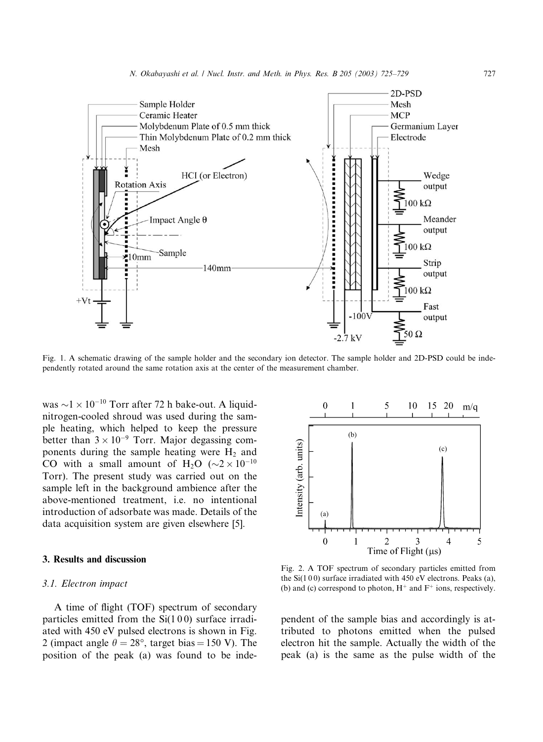

Fig. 1. A schematic drawing of the sample holder and the secondary ion detector. The sample holder and 2D-PSD could be independently rotated around the same rotation axis at the center of the measurement chamber.

was  $\sim$ 1  $\times$  10<sup>-10</sup> Torr after 72 h bake-out. A liquidnitrogen-cooled shroud was used during the sample heating, which helped to keep the pressure better than  $3 \times 10^{-9}$  Torr. Major degassing components during the sample heating were  $H_2$  and CO with a small amount of H<sub>2</sub>O ( $\sim$ 2 × 10<sup>-10</sup>) Torr). The present study was carried out on the sample left in the background ambience after the above-mentioned treatment, i.e. no intentional introduction of adsorbate was made. Details of the data acquisition system are given elsewhere [5].

# 3. Results and discussion

### 3.1. Electron impact

A time of flight (TOF) spectrum of secondary particles emitted from the  $Si(100)$  surface irradiated with 450 eV pulsed electrons is shown in Fig. 2 (impact angle  $\theta = 28^{\circ}$ , target bias = 150 V). The position of the peak (a) was found to be inde-



Fig. 2. A TOF spectrum of secondary particles emitted from the  $Si(100)$  surface irradiated with 450 eV electrons. Peaks (a), (b) and (c) correspond to photon,  $H^+$  and  $F^+$  ions, respectively.

pendent of the sample bias and accordingly is attributed to photons emitted when the pulsed electron hit the sample. Actually the width of the peak (a) is the same as the pulse width of the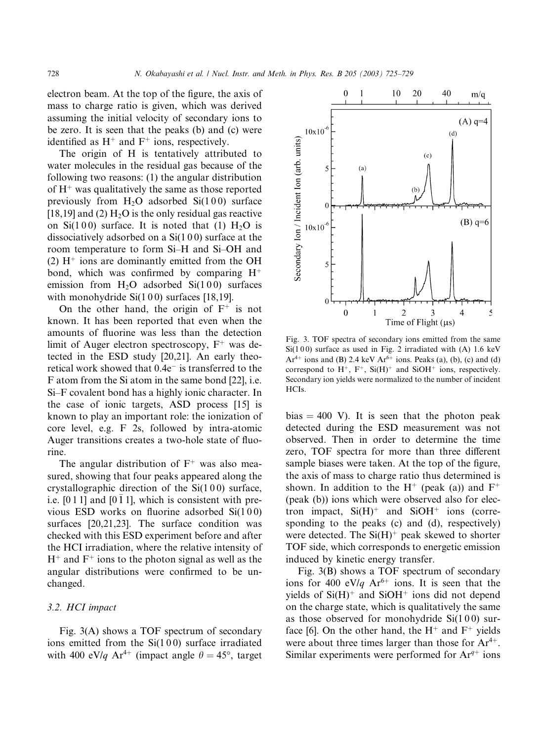electron beam. At the top of the figure, the axis of mass to charge ratio is given, which was derived assuming the initial velocity of secondary ions to be zero. It is seen that the peaks (b) and (c) were identified as  $H^+$  and  $F^+$  ions, respectively.

The origin of H is tentatively attributed to water molecules in the residual gas because of the following two reasons: (1) the angular distribution of  $H^+$  was qualitatively the same as those reported previously from  $H_2O$  adsorbed  $Si(100)$  surface [18,19] and (2)  $H_2O$  is the only residual gas reactive on Si(100) surface. It is noted that (1)  $H_2O$  is dissociatively adsorbed on a  $Si(100)$  surface at the room temperature to form Si–H and Si–OH and (2)  $H^+$  ions are dominantly emitted from the OH bond, which was confirmed by comparing  $H^+$ emission from  $H_2O$  adsorbed  $Si(100)$  surfaces with monohydride  $Si(100)$  surfaces [18,19].

On the other hand, the origin of  $F^+$  is not known. It has been reported that even when the amounts of fluorine was less than the detection limit of Auger electron spectroscopy,  $F^+$  was detected in the ESD study [20,21]. An early theoretical work showed that  $0.4e^-$  is transferred to the F atom from the Si atom in the same bond [22], i.e. Si–F covalent bond has a highly ionic character. In the case of ionic targets, ASD process [15] is known to play an important role: the ionization of core level, e.g. F 2s, followed by intra-atomic Auger transitions creates a two-hole state of fluorine.

The angular distribution of  $F^+$  was also measured, showing that four peaks appeared along the crystallographic direction of the  $Si(100)$  surface, i.e.  $[0 1 1]$  and  $[0 1 1]$ , which is consistent with previous ESD works on fluorine adsorbed Si(1 0 0) surfaces [20,21,23]. The surface condition was checked with this ESD experiment before and after the HCI irradiation, where the relative intensity of  $H^+$  and  $F^+$  ions to the photon signal as well as the angular distributions were confirmed to be unchanged.

### 3.2. HCI impact

Fig. 3(A) shows a TOF spectrum of secondary ions emitted from the  $Si(100)$  surface irradiated with 400 eV/q Ar<sup>4+</sup> (impact angle  $\theta = 45^{\circ}$ , target



Fig. 3. TOF spectra of secondary ions emitted from the same  $Si(100)$  surface as used in Fig. 2 irradiated with (A) 1.6 keV  $Ar^{4+}$  ions and (B) 2.4 keV  $Ar^{6+}$  ions. Peaks (a), (b), (c) and (d) correspond to  $H^+$ ,  $F^+$ , Si(H)<sup>+</sup> and SiOH<sup>+</sup> ions, respectively. Secondary ion yields were normalized to the number of incident HCIs.

bias  $= 400$  V). It is seen that the photon peak detected during the ESD measurement was not observed. Then in order to determine the time zero, TOF spectra for more than three different sample biases were taken. At the top of the figure, the axis of mass to charge ratio thus determined is shown. In addition to the H<sup>+</sup> (peak (a)) and  $F^+$ (peak (b)) ions which were observed also for electron impact,  $Si(H)$ <sup>+</sup> and  $SiOH$ <sup>+</sup> ions (corresponding to the peaks (c) and (d), respectively) were detected. The  $Si(H)^+$  peak skewed to shorter TOF side, which corresponds to energetic emission induced by kinetic energy transfer.

Fig. 3(B) shows a TOF spectrum of secondary ions for 400 eV/q Ar<sup>6+</sup> ions. It is seen that the yields of  $Si(H)$ <sup>+</sup> and  $SiOH$ <sup>+</sup> ions did not depend on the charge state, which is qualitatively the same as those observed for monohydride  $Si(100)$  surface [6]. On the other hand, the  $H^+$  and  $F^+$  yields were about three times larger than those for  $Ar^{4+}$ . Similar experiments were performed for  $Ar^{q+}$  ions